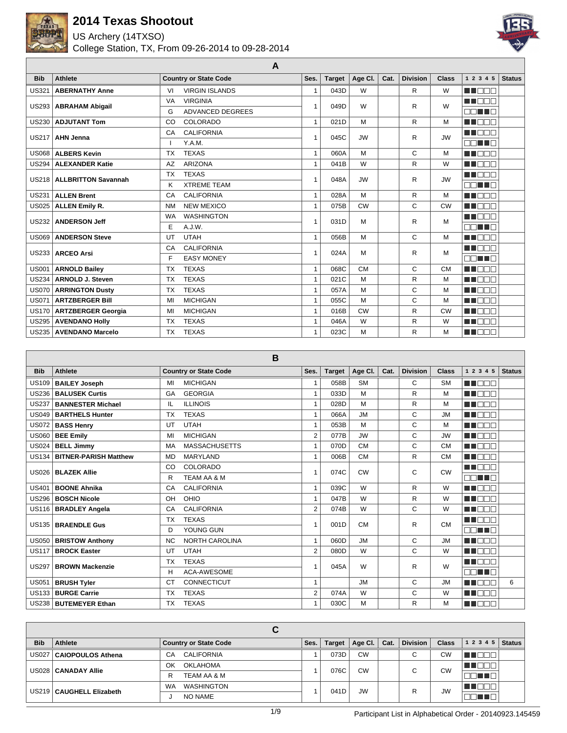

US Archery (14TXSO)



|              |                            | A                              |                |               |           |      |                 |              |                         |               |
|--------------|----------------------------|--------------------------------|----------------|---------------|-----------|------|-----------------|--------------|-------------------------|---------------|
| <b>Bib</b>   | <b>Athlete</b>             | <b>Country or State Code</b>   | Ses.           | <b>Target</b> | Age Cl.   | Cat. | <b>Division</b> | <b>Class</b> | 1 2 3 4 5               | <b>Status</b> |
| <b>US321</b> | <b>ABERNATHY Anne</b>      | <b>VIRGIN ISLANDS</b><br>VI    | $\overline{1}$ | 043D          | W         |      | R               | W            | n doo                   |               |
| <b>US293</b> | <b>ABRAHAM Abigail</b>     | <b>VIRGINIA</b><br>VA          | $\mathbf 1$    | 049D          | W         |      | R               | W            | M BEA                   |               |
|              |                            | ADVANCED DEGREES<br>G          |                |               |           |      |                 |              | nn i In                 |               |
| <b>US230</b> | <b>ADJUTANT Tom</b>        | COLORADO<br>CO                 | $\overline{1}$ | 021D          | M         |      | R               | М            | MA DE L                 |               |
| <b>US217</b> | <b>AHN Jenna</b>           | <b>CALIFORNIA</b><br>CA        | 1              | 045C          | <b>JW</b> |      | R               | <b>JW</b>    | M BEB                   |               |
|              |                            | Y.A.M.                         |                |               |           |      |                 |              | nn i n                  |               |
| <b>US068</b> | <b>ALBERS Kevin</b>        | <b>TEXAS</b><br><b>TX</b>      | $\mathbf{1}$   | 060A          | M         |      | C               | М            | an an an                |               |
| <b>US294</b> | <b>ALEXANDER Katie</b>     | <b>ARIZONA</b><br>AZ           | $\overline{1}$ | 041B          | W         |      | R.              | W            | MA DELE                 |               |
| <b>US218</b> | <b>ALLBRITTON Savannah</b> | <b>TEXAS</b><br><b>TX</b>      | $\overline{1}$ | 048A          | <b>JW</b> |      | R               | <b>JW</b>    | <b>RADIO DE LA PERS</b> |               |
|              |                            | <b>XTREME TEAM</b><br>κ        |                |               |           |      |                 |              | nn un                   |               |
| <b>US231</b> | <b>ALLEN Brent</b>         | <b>CALIFORNIA</b><br>CA        | $\mathbf{1}$   | 028A          | M         |      | R               | М            | <b>HELL</b>             |               |
| <b>US025</b> | <b>ALLEN Emily R.</b>      | <b>NEW MEXICO</b><br><b>NM</b> | 1              | 075B          | <b>CW</b> |      | C               | <b>CW</b>    | M DE S                  |               |
| <b>US232</b> | <b>ANDERSON Jeff</b>       | <b>WASHINGTON</b><br><b>WA</b> | 1              | 031D          | M         |      | R               | M            | an an T                 |               |
|              |                            | E<br>A.J.W.                    |                |               |           |      |                 |              | MA TITLE                |               |
| <b>US069</b> | <b>ANDERSON Steve</b>      | <b>UTAH</b><br>UT              | $\mathbf{1}$   | 056B          | M         |      | C               | М            | M BEE                   |               |
| US233        | <b>ARCEO Arsi</b>          | <b>CALIFORNIA</b><br>CA        | 1              | 024A          | M         |      | R               | M            | MA DE L                 |               |
|              |                            | <b>EASY MONEY</b><br>F         |                |               |           |      |                 |              | nn i In                 |               |
| <b>US001</b> | <b>ARNOLD Bailey</b>       | <b>TEXAS</b><br><b>TX</b>      | $\mathbf{1}$   | 068C          | <b>CM</b> |      | C               | <b>CM</b>    | MA DE LA P              |               |
| <b>US234</b> | <b>ARNOLD J. Steven</b>    | <b>TEXAS</b><br><b>TX</b>      | $\mathbf{1}$   | 021C          | M         |      | $\mathsf{R}$    | М            | n i Bel                 |               |
| <b>US070</b> | <b>ARRINGTON Dusty</b>     | <b>TEXAS</b><br><b>TX</b>      | $\overline{1}$ | 057A          | M         |      | C               | М            | MA DELE                 |               |
| <b>US071</b> | <b>ARTZBERGER Bill</b>     | <b>MICHIGAN</b><br>MI          | $\overline{1}$ | 055C          | M         |      | C               | М            | ME E E E                |               |
| <b>US170</b> | <b>ARTZBERGER Georgia</b>  | <b>MICHIGAN</b><br>MI          | 1              | 016B          | CW        |      | R               | <b>CW</b>    | <b>THE LEADER</b>       |               |
| <b>US295</b> | <b>AVENDANO Holly</b>      | <b>TEXAS</b><br><b>TX</b>      | 1              | 046A          | W         |      | R               | W            | T FIFIT                 |               |
| <b>US235</b> | <b>AVENDANO Marcelo</b>    | <b>TEXAS</b><br><b>TX</b>      | $\mathbf{1}$   | 023C          | M         |      | R               | M            | n na na                 |               |

**B**

|              | D                            |                                 |                |               |           |      |                 |              |                    |               |  |
|--------------|------------------------------|---------------------------------|----------------|---------------|-----------|------|-----------------|--------------|--------------------|---------------|--|
| <b>Bib</b>   | <b>Athlete</b>               | <b>Country or State Code</b>    | Ses.           | <b>Target</b> | Age CI.   | Cat. | <b>Division</b> | <b>Class</b> | 1 2 3 4 5          | <b>Status</b> |  |
| <b>US109</b> | <b>BAILEY Joseph</b>         | <b>MICHIGAN</b><br>MI           | 1              | 058B          | <b>SM</b> |      | C               | <b>SM</b>    | <b>READER</b>      |               |  |
| <b>US236</b> | <b>BALUSEK Curtis</b>        | <b>GEORGIA</b><br>GA            | 1              | 033D          | M         |      | R               | M            | n na               |               |  |
| <b>US237</b> | <b>BANNESTER Michael</b>     | <b>ILLINOIS</b><br>IL           | 1              | 028D          | M         |      | R               | M            | <b>TIME</b><br>mnr |               |  |
| <b>US049</b> | <b>BARTHELS Hunter</b>       | <b>TEXAS</b><br><b>TX</b>       | 1              | 066A          | <b>JM</b> |      | C               | <b>JM</b>    | Пſ<br>a ka         |               |  |
| <b>US072</b> | <b>BASS Henry</b>            | <b>UTAH</b><br>UT               | 1              | 053B          | M         |      | C               | M            | n n n n            |               |  |
| <b>US060</b> | <b>BEE Emily</b>             | <b>MICHIGAN</b><br>MI           | $\overline{2}$ | 077B          | <b>JW</b> |      | C               | <b>JW</b>    | n na n             |               |  |
| <b>US024</b> | <b>BELL Jimmy</b>            | <b>MASSACHUSETTS</b><br>MA      | $\mathbf{1}$   | 070D          | <b>CM</b> |      | C               | <b>CM</b>    | MA DO T            |               |  |
| <b>US134</b> | <b>BITNER-PARISH Matthew</b> | <b>MARYLAND</b><br><b>MD</b>    | 1              | 006B          | <b>CM</b> |      | $\mathsf{R}$    | <b>CM</b>    | N N                |               |  |
| <b>US026</b> | <b>BLAZEK Allie</b>          | <b>COLORADO</b><br>CO           | $\overline{ }$ | 074C          | <b>CW</b> |      | C               | <b>CW</b>    | الطلطاط            |               |  |
|              |                              | <b>TEAM AA &amp; M</b><br>R     |                |               |           |      |                 |              | no no s            |               |  |
| <b>US401</b> | <b>BOONE Ahnika</b>          | <b>CALIFORNIA</b><br>CA         | $\mathbf{1}$   | 039C          | W         |      | R               | W            | .<br>FIDE<br>a pro |               |  |
| <b>US296</b> | <b>BOSCH Nicole</b>          | OHIO<br>OH                      | $\mathbf{1}$   | 047B          | W         |      | $\mathsf{R}$    | W            | T F                |               |  |
| <b>US116</b> | <b>BRADLEY Angela</b>        | <b>CALIFORNIA</b><br>CA         | 2              | 074B          | W         |      | C               | W            | a na man           |               |  |
| <b>US135</b> | <b>BRAENDLE Gus</b>          | <b>TEXAS</b><br><b>TX</b>       | 1              | 001D          | <b>CM</b> |      | R               | <b>CM</b>    | n na m             |               |  |
|              |                              | YOUNG GUN<br>D                  |                |               |           |      |                 |              | no no n            |               |  |
| <b>US050</b> | <b>BRISTOW Anthony</b>       | NORTH CAROLINA<br><b>NC</b>     | $\mathbf{1}$   | Q080          | <b>JM</b> |      | C               | <b>JM</b>    | n din s            |               |  |
| <b>US117</b> | <b>BROCK Easter</b>          | <b>UTAH</b><br>UT               | 2              | 080D          | W         |      | C               | W            | m di f<br>╖        |               |  |
| <b>US297</b> | <b>BROWN Mackenzie</b>       | <b>TEXAS</b><br><b>TX</b>       | $\overline{A}$ | 045A          | W         |      | R               | W            | HE E E E           |               |  |
|              |                              | <b>ACA-AWESOME</b><br>н         |                |               |           |      |                 |              | nn i Tr            |               |  |
| <b>US051</b> | <b>BRUSH Tyler</b>           | <b>CONNECTICUT</b><br><b>CT</b> | $\mathbf{1}$   |               | <b>JM</b> |      | C               | <b>JM</b>    | a pr<br>חר         | 6             |  |
| <b>US133</b> | <b>BURGE Carrie</b>          | <b>TEXAS</b><br><b>TX</b>       | $\overline{2}$ | 074A          | W         |      | C               | W            | ורור<br>n di       |               |  |
|              | US238   BUTEMEYER Ethan      | <b>TEXAS</b><br><b>TX</b>       | 1              | 030C          | M         |      | $\mathsf{R}$    | M            | n mm               |               |  |

|            |                            | ື                            |      |               |           |      |                 |              |           |        |
|------------|----------------------------|------------------------------|------|---------------|-----------|------|-----------------|--------------|-----------|--------|
| <b>Bib</b> | Athlete                    | <b>Country or State Code</b> | Ses. | <b>Target</b> | Age Cl.   | Cat. | <b>Division</b> | <b>Class</b> | 1 2 3 4 5 | Status |
|            | US027   CAIOPOULOS Athena  | <b>CALIFORNIA</b><br>CA      |      | 073D          | <b>CW</b> |      |                 | <b>CW</b>    |           |        |
|            | US028   CANADAY Allie      | <b>OKLAHOMA</b><br>OK        |      | 076C          | <b>CW</b> |      |                 | <b>CW</b>    |           |        |
|            |                            | TEAM AA & M<br>R             |      |               |           |      |                 |              | man an    |        |
|            | US219   CAUGHELL Elizabeth | WA<br><b>WASHINGTON</b>      |      | 041D          | <b>JW</b> |      | R               | <b>JW</b>    |           |        |
|            |                            | NO NAME                      |      |               |           |      |                 |              | 'ا الله   |        |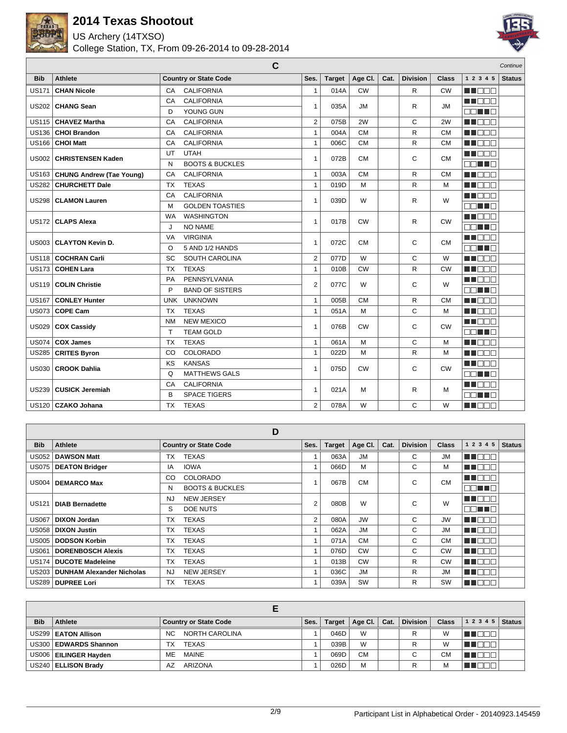

US Archery (14TXSO)



|              |                                 | $\mathbf c$                     |                |               |           |      |                 |              |                  | Continue      |
|--------------|---------------------------------|---------------------------------|----------------|---------------|-----------|------|-----------------|--------------|------------------|---------------|
| <b>Bib</b>   | <b>Athlete</b>                  | <b>Country or State Code</b>    | Ses.           | <b>Target</b> | Age Cl.   | Cat. | <b>Division</b> | <b>Class</b> | 1 2 3 4 5        | <b>Status</b> |
| <b>US171</b> | <b>CHAN Nicole</b>              | <b>CALIFORNIA</b><br>CA         | $\mathbf{1}$   | 014A          | <b>CW</b> |      | R.              | <b>CW</b>    | n mana           |               |
| <b>US202</b> | <b>CHANG Sean</b>               | CA<br><b>CALIFORNIA</b>         | $\mathbf{1}$   | 035A          | JM        |      | R               | <b>JM</b>    | n nooc           |               |
|              |                                 | YOUNG GUN<br>D                  |                |               |           |      |                 |              | nn an D          |               |
| <b>US115</b> | <b>CHAVEZ Martha</b>            | <b>CALIFORNIA</b><br>CA         | $\overline{2}$ | 075B          | 2W        |      | C               | 2W           | ME DE L          |               |
| <b>US136</b> | <b>CHOI Brandon</b>             | <b>CALIFORNIA</b><br>CA         | $\mathbf{1}$   | 004A          | <b>CM</b> |      | R               | <b>CM</b>    | MN DE E          |               |
| <b>US166</b> | <b>CHOI Matt</b>                | <b>CALIFORNIA</b><br>CA         | $\mathbf{1}$   | 006C          | <b>CM</b> |      | R.              | <b>CM</b>    | MT EE E          |               |
| <b>US002</b> | <b>CHRISTENSEN Kaden</b>        | <b>UTAH</b><br>UT               | $\mathbf{1}$   | 072B          | <b>CM</b> |      | С               | <b>CM</b>    | M BEE            |               |
|              |                                 | <b>BOOTS &amp; BUCKLES</b><br>N |                |               |           |      |                 |              | n na ma          |               |
| <b>US163</b> | <b>CHUNG Andrew (Tae Young)</b> | <b>CALIFORNIA</b><br>CA         | $\mathbf{1}$   | 003A          | <b>CM</b> |      | R               | <b>CM</b>    | <b>REFERENCE</b> |               |
| <b>US282</b> | <b>CHURCHETT Dale</b>           | <b>TX</b><br><b>TEXAS</b>       | $\mathbf{1}$   | 019D          | M         |      | R.              | M            | n na man         |               |
| <b>US298</b> | <b>CLAMON Lauren</b>            | <b>CALIFORNIA</b><br>CA         | $\mathbf{1}$   | 039D          | W         |      | R               | W            | MU DOC           |               |
|              |                                 | <b>GOLDEN TOASTIES</b><br>M     |                |               |           |      |                 |              | n Tillin         |               |
| <b>US172</b> | <b>CLAPS Alexa</b>              | <b>WASHINGTON</b><br><b>WA</b>  | $\mathbf{1}$   | 017B          | <b>CW</b> |      | R               | <b>CW</b>    | MN DE S          |               |
|              |                                 | <b>NO NAME</b><br>J             |                |               |           |      |                 |              | nn an D          |               |
| <b>US003</b> | <b>CLAYTON Kevin D.</b>         | <b>VIRGINIA</b><br>VA           | $\mathbf{1}$   | 072C          | <b>CM</b> |      | C               | <b>CM</b>    | M DE S           |               |
|              |                                 | 5 AND 1/2 HANDS<br>$\Omega$     |                |               |           |      |                 |              | E E E E          |               |
| <b>US118</b> | <b>COCHRAN Carli</b>            | SC<br><b>SOUTH CAROLINA</b>     | $\overline{2}$ | 077D          | W         |      | C               | W            | MA DE L          |               |
| <b>US173</b> | <b>COHEN Lara</b>               | <b>TX</b><br><b>TEXAS</b>       | $\mathbf{1}$   | 010B          | <b>CW</b> |      | R.              | <b>CW</b>    | <b>REFERE</b>    |               |
| <b>US119</b> | <b>COLIN Christie</b>           | PENNSYLVANIA<br><b>PA</b>       | $\overline{2}$ | 077C          | W         |      | С               | W            | M DEC            |               |
|              |                                 | P<br><b>BAND OF SISTERS</b>     |                |               |           |      |                 |              | nn an D          |               |
| <b>US167</b> | <b>CONLEY Hunter</b>            | <b>UNKNOWN</b><br><b>UNK</b>    | $\mathbf{1}$   | 005B          | <b>CM</b> |      | R               | <b>CM</b>    | MA DE L          |               |
| <b>US073</b> | <b>COPE Cam</b>                 | <b>TEXAS</b><br><b>TX</b>       | $\mathbf{1}$   | 051A          | M         |      | C               | M            | <b>REFERE</b>    |               |
| <b>US029</b> | <b>COX Cassidy</b>              | <b>NEW MEXICO</b><br><b>NM</b>  | $\mathbf{1}$   | 076B          | <b>CW</b> |      | С               | <b>CW</b>    | M DEC            |               |
|              |                                 | <b>TEAM GOLD</b><br>T           |                |               |           |      |                 |              | nn an D          |               |
| <b>US074</b> | <b>COX James</b>                | <b>TX</b><br><b>TEXAS</b>       | $\mathbf{1}$   | 061A          | M         |      | C               | M            | <b>REDEE</b>     |               |
| <b>US285</b> | <b>CRITES Byron</b>             | COLORADO<br>CO                  | $\mathbf{1}$   | 022D          | M         |      | R               | M            | <b>REFERENCE</b> |               |
| <b>US030</b> | <b>CROOK Dahlia</b>             | KS<br><b>KANSAS</b>             | $\mathbf{1}$   | 075D          | <b>CW</b> |      | С               | <b>CW</b>    | n na ma          |               |
|              |                                 | <b>MATTHEWS GALS</b><br>Q       |                |               |           |      |                 |              | nn an D          |               |
| <b>US239</b> | <b>CUSICK Jeremiah</b>          | <b>CALIFORNIA</b><br>CA         | $\mathbf{1}$   | 021A          | M         |      | R               | M            | MN DOB           |               |
|              |                                 | B<br><b>SPACE TIGERS</b>        |                |               |           |      |                 |              | OO NE N          |               |
|              | US120   CZAKO Johana            | TX<br><b>TEXAS</b>              | $\overline{2}$ | 078A          | W         |      | C               | W            | M BER            |               |

|              |                                  | D                               |                |               |           |      |                 |              |              |               |
|--------------|----------------------------------|---------------------------------|----------------|---------------|-----------|------|-----------------|--------------|--------------|---------------|
| <b>Bib</b>   | Athlete                          | <b>Country or State Code</b>    | Ses.           | <b>Target</b> | Age Cl.   | Cat. | <b>Division</b> | <b>Class</b> | 1 2 3 4 5    | <b>Status</b> |
| US052        | <b>DAWSON Matt</b>               | <b>TEXAS</b><br><b>TX</b>       |                | 063A          | <b>JM</b> |      | C               | <b>JM</b>    | TI T         |               |
| US075        | <b>DEATON Bridger</b>            | <b>IOWA</b><br>IA               |                | 066D          | M         |      | C               | M            | T FIF        |               |
| US004        | <b>DEMARCO Max</b>               | COLORADO<br>CO                  |                | 067B          | <b>CM</b> |      | C               | <b>CM</b>    | n di         |               |
|              |                                  | <b>BOOTS &amp; BUCKLES</b><br>N |                |               |           |      |                 |              | <b>REDEE</b> |               |
| US121        | <b>DIAB Bernadette</b>           | <b>NEW JERSEY</b><br>NJ         | 2              | 080B          | W         |      | C               | W            | VIDI         |               |
|              |                                  | DOE NUTS<br>S                   |                |               |           |      |                 |              | E E TE       |               |
| US067        | <b>DIXON Jordan</b>              | <b>TEXAS</b><br>TX              | $\overline{2}$ | 080A          | <b>JW</b> |      | C               | <b>JW</b>    | T I T        |               |
| <b>US058</b> | <b>DIXON Justin</b>              | <b>TEXAS</b><br><b>TX</b>       |                | 062A          | <b>JM</b> |      | C               | <b>JM</b>    | un del       |               |
| US005        | <b>DODSON Korbin</b>             | <b>TEXAS</b><br>TX              |                | 071A          | <b>CM</b> |      | C               | <b>CM</b>    | TICL         |               |
| US061        | <b>DORENBOSCH Alexis</b>         | <b>TEXAS</b><br><b>TX</b>       |                | 076D          | <b>CW</b> |      | C               | <b>CW</b>    | a ka         |               |
| <b>US174</b> | <b>DUCOTE Madeleine</b>          | <b>TEXAS</b><br><b>TX</b>       |                | 013B          | <b>CW</b> |      | R               | <b>CW</b>    | a propinsi P |               |
| US203 l      | <b>DUNHAM Alexander Nicholas</b> | <b>NEW JERSEY</b><br>NJ         |                | 036C          | <b>JM</b> |      | R               | <b>JM</b>    | TELET        |               |
|              | US289   DUPREE Lori              | <b>TX</b><br><b>TEXAS</b>       |                | 039A          | SW        |      | R               | SW           | AUDLI        |               |

| <b>Bib</b> | Athlete                 | <b>Country or State Code</b> | Ses. | <b>Target</b> | Age Cl. Cat. | <b>Division</b> | <b>Class</b> | 1 2 3 4 5   Status |  |
|------------|-------------------------|------------------------------|------|---------------|--------------|-----------------|--------------|--------------------|--|
|            | US299   EATON Allison   | NORTH CAROLINA<br>NC.        |      | 046D          | W            | R               | W            |                    |  |
|            | US300   EDWARDS Shannon | <b>TEXAS</b><br><b>TX</b>    |      | 039B          | W            |                 | W            |                    |  |
|            | US006   EILINGER Hayden | ME MAINE                     |      | 069D          | <b>CM</b>    | $\sim$          | <b>CM</b>    |                    |  |
|            | US240   ELLISON Brady   | <b>ARIZONA</b><br>AZ         |      | 026D          | M            |                 | M            |                    |  |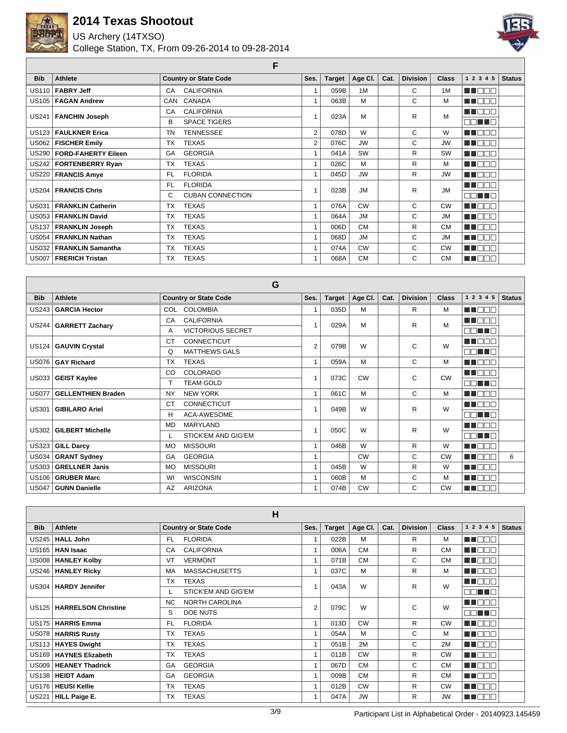

US Archery (14TXSO)

College Station, TX, From 09-26-2014 to 09-28-2014



**F**

| <b>Bib</b>   | Athlete                    | <b>Country or State Code</b> | Ses.           | <b>Target</b> | Age CI.   | Cat. | <b>Division</b> | <b>Class</b> | 1 2 3 4 5     | <b>Status</b> |
|--------------|----------------------------|------------------------------|----------------|---------------|-----------|------|-----------------|--------------|---------------|---------------|
|              | US110   FABRY Jeff         | <b>CALIFORNIA</b><br>CA      |                | 059B          | 1M        |      | C               | 1M           | n doo         |               |
| US105        | <b>FAGAN Andrew</b>        | CANADA<br>CAN                |                | 063B          | M         |      | C               | М            | n nooc        |               |
| US241        |                            | <b>CALIFORNIA</b><br>CA      |                | 023A          | M         |      | R               | M            | MA BEL        |               |
|              | <b>FANCHIN Joseph</b>      | <b>SPACE TIGERS</b><br>В     |                |               |           |      |                 |              | <b>OOM TO</b> |               |
| US123        | <b>FAULKNER Erica</b>      | <b>TENNESSEE</b><br>TN       | 2              | 078D          | W         |      | C               | W            | M DE B        |               |
| US062        | <b>FISCHER Emily</b>       | <b>TEXAS</b><br>TX           | $\overline{2}$ | 076C          | <b>JW</b> |      | C               | <b>JW</b>    | M BER         |               |
| US290        | <b>FORD-FAHERTY Eileen</b> | <b>GEORGIA</b><br>GA         |                | 041A          | <b>SW</b> |      | R               | <b>SW</b>    | MT E SE       |               |
|              | US242   FORTENBERRY Ryan   | <b>TEXAS</b><br><b>TX</b>    | $\overline{A}$ | 026C          | м         |      | R               | M            | MT OOB        |               |
| US220        | <b>FRANCIS Amye</b>        | <b>FLORIDA</b><br>FL.        | $\overline{A}$ | 045D          | <b>JW</b> |      | R               | <b>JW</b>    | <b>READER</b> |               |
|              | US204   FRANCIS Chris      | <b>FLORIDA</b><br>FL.        |                | 023B          | <b>JM</b> |      | R               | <b>JM</b>    | MT BE B       |               |
|              |                            | <b>CUBAN CONNECTION</b><br>C |                |               |           |      |                 |              | n ni Tin      |               |
| <b>US031</b> | <b>FRANKLIN Catherin</b>   | <b>TEXAS</b><br>TX           | $\mathbf{1}$   | 076A          | <b>CW</b> |      | C               | <b>CW</b>    | MT OOB        |               |
| <b>US053</b> | <b>FRANKLIN David</b>      | <b>TEXAS</b><br><b>TX</b>    | $\overline{ }$ | 064A          | <b>JM</b> |      | C               | <b>JM</b>    | n an Deb      |               |
| US137        | <b>FRANKLIN Joseph</b>     | <b>TEXAS</b><br>TX           | $\overline{ }$ | 006D          | <b>CM</b> |      | R               | <b>CM</b>    | MT DE E       |               |
|              | US054   FRANKLIN Nathan    | <b>TEXAS</b><br><b>TX</b>    | 1              | 068D          | <b>JM</b> |      | C               | <b>JM</b>    | MU OOO        |               |
|              | US032   FRANKLIN Samantha  | <b>TEXAS</b><br>TX           |                | 074A          | <b>CW</b> |      | C               | <b>CW</b>    | NN DOO        |               |
|              | US007   FRERICH Tristan    | <b>TEXAS</b><br>TX           |                | 068A          | <b>CM</b> |      | C               | <b>CM</b>    | MU DO O       |               |

|              |                           | G                               |                |               |           |      |                 |              |               |               |
|--------------|---------------------------|---------------------------------|----------------|---------------|-----------|------|-----------------|--------------|---------------|---------------|
| <b>Bib</b>   | Athlete                   | <b>Country or State Code</b>    | Ses.           | <b>Target</b> | Age Cl.   | Cat. | <b>Division</b> | <b>Class</b> | 1 2 3 4 5     | <b>Status</b> |
| US243        | <b>GARCIA Hector</b>      | COL COLOMBIA                    |                | 035D          | M         |      | R               | M            | M E E F       |               |
|              | US244   GARRETT Zachary   | <b>CALIFORNIA</b><br>CA         |                | 029A          | M         |      | R               | M            | MA DEL        |               |
|              |                           | <b>VICTORIOUS SECRET</b><br>A   |                |               |           |      |                 |              | nn nn n       |               |
|              | US124   GAUVIN Crystal    | <b>CONNECTICUT</b><br>СT        | $\overline{2}$ | 079B          | W         |      | C               | W            | TE ELT        |               |
|              |                           | <b>MATTHEWS GALS</b><br>Q       |                |               |           |      |                 |              | ee ne         |               |
| <b>US076</b> | <b>GAY Richard</b>        | <b>TEXAS</b><br><b>TX</b>       | $\mathbf{1}$   | 059A          | M         |      | C               | M            | <b>READER</b> |               |
| US033        | <b>GEIST Kaylee</b>       | COLORADO<br>CO                  |                | 073C          | <b>CW</b> |      | C               | <b>CW</b>    | <b>HERE</b>   |               |
|              |                           | <b>TEAM GOLD</b>                |                |               |           |      |                 |              | MA MARIN      |               |
| <b>US077</b> | <b>GELLENTHIEN Braden</b> | <b>NEW YORK</b><br><b>NY</b>    | $\mathbf{1}$   | 061C          | M         |      | C               | M            | n ma          |               |
| <b>US301</b> | <b>GIBILARO Ariel</b>     | <b>CONNECTICUT</b><br><b>CT</b> |                | 049B          | W         |      | R               | W            | M DE          |               |
|              |                           | <b>ACA-AWESOME</b><br>Н         |                |               |           |      |                 |              | nn nn         |               |
| US302        | <b>GILBERT Michelle</b>   | <b>MARYLAND</b><br>MD           |                | 050C          | W         |      | R               | W            | n n n         |               |
|              |                           | <b>STICK'EM AND GIG'EM</b>      |                |               |           |      |                 |              | n ni Tin      |               |
| US323        | <b>GILL Darcy</b>         | <b>MISSOURI</b><br>MO           | 1              | 046B          | W         |      | R               | W            | U NOT         |               |
| US034        | <b>GRANT Sydney</b>       | <b>GEORGIA</b><br>GA            | 1              |               | <b>CW</b> |      | C               | <b>CW</b>    | TE ELT        | 6             |
| US303        | <b>GRELLNER Janis</b>     | <b>MISSOURI</b><br><b>MO</b>    | $\mathbf{1}$   | 045B          | W         |      | R               | W            | اصطلحاته      |               |
| US106        | <b>GRUBER Marc</b>        | <b>WISCONSIN</b><br>WI          | 1              | 060B          | М         |      | C               | M            | <b>HELL</b>   |               |
| US047        | <b>GUNN Danielle</b>      | <b>ARIZONA</b><br>AZ            |                | 074B          | <b>CW</b> |      | C               | <b>CW</b>    | TIOO          |               |

|              |                             | H                            |                |               |           |      |                 |              |                    |               |
|--------------|-----------------------------|------------------------------|----------------|---------------|-----------|------|-----------------|--------------|--------------------|---------------|
| <b>Bib</b>   | Athlete                     | <b>Country or State Code</b> | Ses.           | <b>Target</b> | Age CI.   | Cat. | <b>Division</b> | <b>Class</b> | 1 2 3 4 5          | <b>Status</b> |
| US245        | <b>HALL John</b>            | FL.<br><b>FLORIDA</b>        | 1              | 022B          | M         |      | R               | M            | MA MAT             |               |
| US165        | <b>HAN Isaac</b>            | <b>CALIFORNIA</b><br>CA      | $\overline{1}$ | 006A          | <b>CM</b> |      | R               | <b>CM</b>    | ma man             |               |
| US008        | <b>HANLEY Kolby</b>         | <b>VERMONT</b><br>VT         | 1              | 071B          | <b>CM</b> |      | C               | <b>CM</b>    | UN DO D            |               |
|              | US246   HANLEY Ricky        | <b>MASSACHUSETTS</b><br>MA   | 1              | 037C          | M         |      | R               | м            | a din me           |               |
|              | US304   HARDY Jennifer      | <b>TX</b><br><b>TEXAS</b>    |                | 043A          | W         |      | R               | W            | n din k<br>⊣г      |               |
|              |                             | STICK'EM AND GIG'EM          |                |               |           |      |                 |              | NN TING            |               |
|              | US125   HARRELSON Christine | NORTH CAROLINA<br><b>NC</b>  | 2              | 079C          | W         |      | C               | W            | N N N N N          |               |
|              |                             | S<br><b>DOE NUTS</b>         |                |               |           |      |                 |              | <b>FIRE E</b>      |               |
|              | US175   HARRIS Emma         | FL.<br><b>FLORIDA</b>        | 1              | 013D          | <b>CW</b> |      | R               | <b>CW</b>    | NA NA TIM          |               |
| US078        | <b>HARRIS Rusty</b>         | <b>TX</b><br><b>TEXAS</b>    |                | 054A          | M         |      | C               | M            | <b>HELL</b>        |               |
|              | US113   HAYES Dwight        | <b>TEXAS</b><br><b>TX</b>    |                | 051B          | 2M        |      | C               | 2M           | E E E E E          |               |
|              | US169   HAYNES Elizabeth    | <b>TEXAS</b><br><b>TX</b>    |                | 011B          | <b>CW</b> |      | R               | <b>CW</b>    | MA NO M            |               |
| <b>US009</b> | <b>HEANEY Thadrick</b>      | <b>GEORGIA</b><br>GA         |                | 067D          | <b>CM</b> |      | C               | <b>CM</b>    | 300 DE 1           |               |
|              | US138   HEIDT Adam          | <b>GEORGIA</b><br>GA         |                | 009B          | <b>CM</b> |      | R               | <b>CM</b>    | TI NAN             |               |
| US176        | ∣ HEUSI Kellie              | <b>TEXAS</b><br><b>TX</b>    | 1              | 012B          | <b>CW</b> |      | R               | <b>CW</b>    | ┐┌<br>a ka<br>- II |               |
| <b>US221</b> | <b>HILL Paige E.</b>        | <b>TEXAS</b><br>ТX           | 1              | 047A          | <b>JW</b> |      | R               | <b>JW</b>    | MA OOO             |               |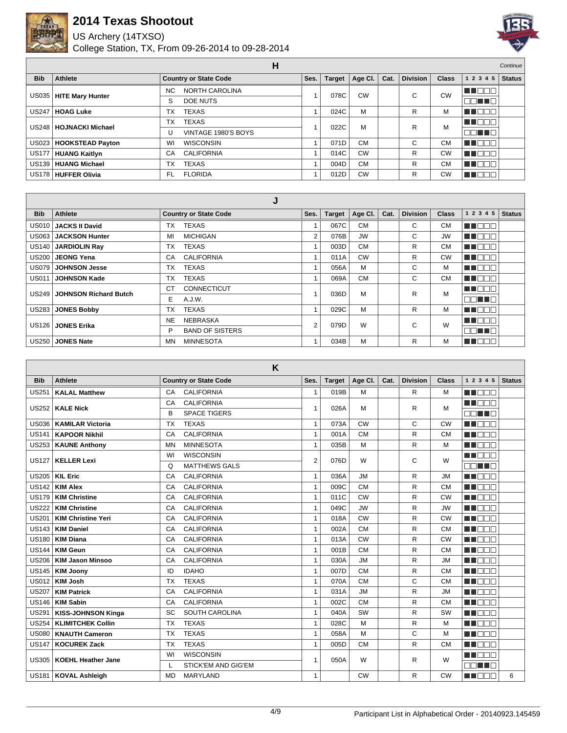

US Archery (14TXSO)



|              |                          | н                                  |      |               |                     |      |                 |              |                          | Continue      |
|--------------|--------------------------|------------------------------------|------|---------------|---------------------|------|-----------------|--------------|--------------------------|---------------|
| <b>Bib</b>   | <b>Athlete</b>           | <b>Country or State Code</b>       | Ses. | <b>Target</b> | Age Cl. $\parallel$ | Cat. | <b>Division</b> | <b>Class</b> | 1 2 3 4 5                | <b>Status</b> |
|              | US035   HITE Mary Hunter | <b>NORTH CAROLINA</b><br><b>NC</b> |      | 078C          | <b>CW</b>           |      | С               | CW           | TOOL                     |               |
|              |                          | <b>DOE NUTS</b><br>S               |      |               |                     |      |                 |              | 38 T 8                   |               |
| <b>US247</b> | <b>HOAG Luke</b>         | <b>TEXAS</b><br>ТX                 |      | 024C          | M                   |      | R               | М            | ┓<br>$\blacksquare$      |               |
|              | US248   HOJNACKI Michael | <b>TEXAS</b><br>ТX                 |      | 022C          | M                   |      | R               | M            | TOOL                     |               |
|              |                          | VINTAGE 1980'S BOYS                |      |               |                     |      |                 |              | TE LET                   |               |
|              | US023   HOOKSTEAD Payton | WI<br><b>WISCONSIN</b>             |      | 071D          | <b>CM</b>           |      | C               | <b>CM</b>    | ┓<br>$\blacksquare\Box'$ |               |
| <b>US177</b> | <b>HUANG Kaitlyn</b>     | <b>CALIFORNIA</b><br>CA            |      | 014C          | <b>CW</b>           |      | R               | CW           | T<br>$\blacksquare$      |               |
|              | US139   HUANG Michael    | <b>TEXAS</b><br>тх                 |      | 004D          | <b>CM</b>           |      | R               | <b>CM</b>    | ПD<br>T DI               |               |
|              | US178 HUFFER Olivia      | <b>FLORIDA</b><br>FL               |      | 012D          | <b>CW</b>           |      | R               | <b>CW</b>    | T                        |               |

|              |                              | J                               |                |               |           |      |                 |              |              |               |
|--------------|------------------------------|---------------------------------|----------------|---------------|-----------|------|-----------------|--------------|--------------|---------------|
| <b>Bib</b>   | <b>Athlete</b>               | <b>Country or State Code</b>    | Ses.           | <b>Target</b> | Age Cl.   | Cat. | <b>Division</b> | <b>Class</b> | 1 2 3 4 5    | <b>Status</b> |
|              | US010 JACKS II David         | <b>TEXAS</b><br><b>TX</b>       |                | 067C          | <b>CM</b> |      | C               | <b>CM</b>    | MN 888       |               |
|              | US063   JACKSON Hunter       | <b>MICHIGAN</b><br>MI           | 2              | 076B          | <b>JW</b> |      | C               | <b>JW</b>    | MA NA T      |               |
|              | US140 JARDIOLIN Ray          | <b>TEXAS</b><br><b>TX</b>       |                | 003D          | <b>CM</b> |      | R.              | <b>CM</b>    | n de la c    |               |
| <b>US200</b> | <b>JEONG Yena</b>            | <b>CALIFORNIA</b><br>CA         |                | 011A          | <b>CW</b> |      | R               | CW           | NN DE E      |               |
| US079 l      | <b>JOHNSON Jesse</b>         | <b>TEXAS</b><br>TX              |                | 056A          | M         |      | C               | М            | <b>MARGE</b> |               |
| <b>US011</b> | <b>JOHNSON Kade</b>          | <b>TEXAS</b><br>TX              |                | 069A          | <b>CM</b> |      | C               | СM           | MA NA T      |               |
| US249 I      | <b>JOHNSON Richard Butch</b> | <b>CONNECTICUT</b><br><b>CT</b> |                | 036D          | M         |      | R               | M            | <b>RENAR</b> |               |
|              |                              | E.<br>A.J.W.                    |                |               |           |      |                 |              | MA TIM       |               |
| US283        | <b>JONES Bobby</b>           | <b>TEXAS</b><br><b>TX</b>       |                | 029C          | M         |      | R               | М            | UN FIELD     |               |
|              | US126   JONES Erika          | <b>NE</b><br><b>NEBRASKA</b>    | $\overline{2}$ | 079D          | W         |      | C               | W            | M DE S       |               |
|              |                              | P<br><b>BAND OF SISTERS</b>     |                |               |           |      |                 |              | nn nn        |               |
|              | US250 JONES Nate             | MN<br><b>MINNESOTA</b>          |                | 034B          | M         |      | R               | М            | T DE E       |               |

|                   |                           | K                               |                |               |           |      |                 |              |                  |               |
|-------------------|---------------------------|---------------------------------|----------------|---------------|-----------|------|-----------------|--------------|------------------|---------------|
| <b>Bib</b>        | <b>Athlete</b>            | <b>Country or State Code</b>    | Ses.           | <b>Target</b> | Age Cl.   | Cat. | <b>Division</b> | <b>Class</b> | 1 2 3 4 5        | <b>Status</b> |
| <b>US251</b>      | <b>KALAL Matthew</b>      | <b>CALIFORNIA</b><br>CA         | $\mathbf{1}$   | 019B          | M         |      | R.              | M            | n doo            |               |
| <b>US252</b>      | <b>KALE Nick</b>          | <b>CALIFORNIA</b><br>CA         | $\mathbf{1}$   | 026A          | M         |      | R               | M            | ma mar           |               |
|                   |                           | <b>SPACE TIGERS</b><br>B        |                |               |           |      |                 |              | nn an a          |               |
| <b>US036</b>      | <b>KAMILAR Victoria</b>   | <b>TEXAS</b><br><b>TX</b>       | $\mathbf{1}$   | 073A          | CW        |      | C               | <b>CW</b>    | M DE S           |               |
| <b>US141</b>      | <b>KAPOOR Nikhil</b>      | <b>CALIFORNIA</b><br>CA         | $\mathbf{1}$   | 001A          | <b>CM</b> |      | R               | <b>CM</b>    | <b>REFERENCE</b> |               |
| <b>US253</b>      | <b>KAUNE Anthony</b>      | <b>MINNESOTA</b><br><b>MN</b>   | $\mathbf{1}$   | 035B          | M         |      | R               | M            | MT DE S          |               |
| <b>US127</b>      | <b>KELLER Lexi</b>        | <b>WISCONSIN</b><br>WI          | $\overline{2}$ | 076D          | W         |      | C               | W            | n i Belg         |               |
|                   |                           | <b>MATTHEWS GALS</b><br>Q       |                |               |           |      |                 |              | nn i In          |               |
| <b>US205</b>      | <b>KIL Eric</b>           | <b>CALIFORNIA</b><br>CA         | $\mathbf{1}$   | 036A          | <b>JM</b> |      | R               | <b>JM</b>    | <b>REDEE</b>     |               |
| <b>US142</b>      | <b>KIM Alex</b>           | <b>CALIFORNIA</b><br>CA         | $\mathbf{1}$   | 009C          | <b>CM</b> |      | R.              | <b>CM</b>    | n na m           |               |
| <b>US179</b>      | <b>KIM Christine</b>      | <b>CALIFORNIA</b><br>CA         | $\overline{1}$ | 011C          | CW        |      | R               | <b>CW</b>    | MU DELI          |               |
| <b>US222</b>      | <b>KIM Christine</b>      | <b>CALIFORNIA</b><br>CA         | $\mathbf{1}$   | 049C          | <b>JW</b> |      | R               | <b>JW</b>    | MA ELE           |               |
| <b>US201</b>      | <b>KIM Christine Yeri</b> | <b>CALIFORNIA</b><br>CA         | $\mathbf{1}$   | 018A          | CW        |      | R.              | <b>CW</b>    | <b>REDEE</b>     |               |
| <b>US143</b>      | <b>KIM Daniel</b>         | <b>CALIFORNIA</b><br>CA         | $\mathbf{1}$   | 002A          | <b>CM</b> |      | R               | <b>CM</b>    | <b>THE LIGHT</b> |               |
| <b>US180</b>      | <b>KIM Diana</b>          | <b>CALIFORNIA</b><br>CA         | $\mathbf{1}$   | 013A          | <b>CW</b> |      | R               | <b>CW</b>    | M DEA            |               |
| <b>US144</b>      | <b>KIM Geun</b>           | <b>CALIFORNIA</b><br>CA         | $\mathbf{1}$   | 001B          | <b>CM</b> |      | R               | <b>CM</b>    | MA ELE           |               |
| <b>US206</b>      | <b>KIM Jason Minsoo</b>   | <b>CALIFORNIA</b><br>CA         | $\mathbf{1}$   | 030A          | <b>JM</b> |      | R               | <b>JM</b>    | a a mara         |               |
| <b>US145</b>      | <b>KIM Joony</b>          | <b>IDAHO</b><br>ID              | $\mathbf{1}$   | 007D          | <b>CM</b> |      | R               | <b>CM</b>    | <b>REFERENC</b>  |               |
| <b>US012</b>      | <b>KIM Josh</b>           | <b>TEXAS</b><br><b>TX</b>       | $\mathbf{1}$   | 070A          | <b>CM</b> |      | C               | <b>CM</b>    | <b>RENDER</b>    |               |
| <b>US207</b>      | <b>KIM Patrick</b>        | <b>CALIFORNIA</b><br>CA         | $\mathbf{1}$   | 031A          | <b>JM</b> |      | R               | <b>JM</b>    | <b>READER</b>    |               |
| <b>US146</b>      | <b>KIM Sabin</b>          | <b>CALIFORNIA</b><br>CA         | $\mathbf{1}$   | 002C          | <b>CM</b> |      | R               | <b>CM</b>    | M DE S           |               |
| <b>US291</b>      | <b>KISS-JOHNSON Kinga</b> | <b>SOUTH CAROLINA</b><br>SC     | $\mathbf{1}$   | 040A          | SW        |      | R               | SW           | <b>REFERENCE</b> |               |
| <b>US254</b>      | <b>KLIMITCHEK Collin</b>  | <b>TEXAS</b><br><b>TX</b>       | $\mathbf{1}$   | 028C          | M         |      | R               | M            | M DEC            |               |
| <b>US080</b>      | <b>KNAUTH Cameron</b>     | <b>TEXAS</b><br><b>TX</b>       | $\mathbf{1}$   | 058A          | M         |      | C               | M            | <b>RENDER</b>    |               |
| <b>US147</b>      | <b>KOCUREK Zack</b>       | <b>TEXAS</b><br><b>TX</b>       | $\mathbf{1}$   | 005D          | <b>CM</b> |      | R               | <b>CM</b>    | n na sa          |               |
| <b>US305</b>      | <b>KOEHL Heather Jane</b> | <b>WISCONSIN</b><br>WI          | $\overline{1}$ | 050A          | W         |      | R               | W            | MA DE O          |               |
|                   |                           | <b>STICK'EM AND GIG'EM</b><br>L |                |               |           |      |                 |              | FIEL THE         |               |
| US <sub>181</sub> | <b>KOVAL Ashleigh</b>     | <b>MARYLAND</b><br><b>MD</b>    | $\mathbf{1}$   |               | CW        |      | R               | <b>CW</b>    | M DE O           | 6             |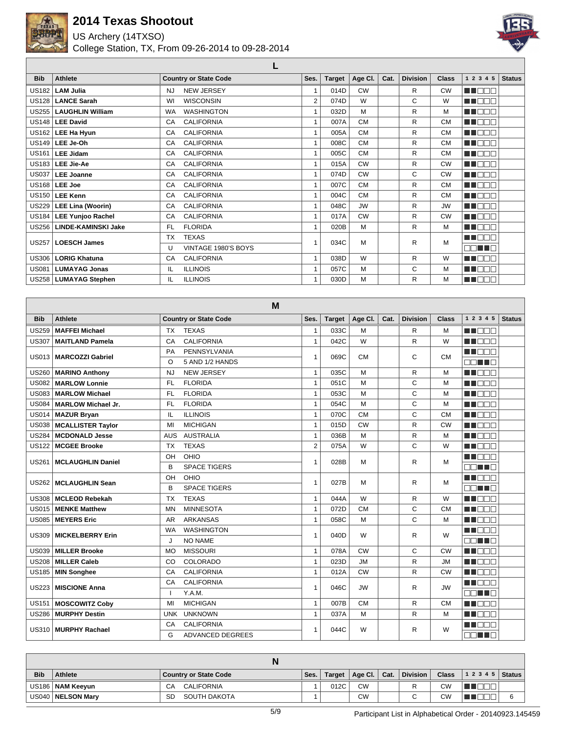

US Archery (14TXSO)

College Station, TX, From 09-26-2014 to 09-28-2014



**L**

| <b>Bib</b>   | Athlete                    | <b>Country or State Code</b>   | Ses.           | <b>Target</b> | Age CI.   | Cat. | <b>Division</b> | <b>Class</b> | 1 2 3 4 5 | <b>Status</b> |
|--------------|----------------------------|--------------------------------|----------------|---------------|-----------|------|-----------------|--------------|-----------|---------------|
| US182 I      | <b>LAM Julia</b>           | <b>NEW JERSEY</b><br><b>NJ</b> | 4              | 014D          | <b>CW</b> |      | $\mathsf{R}$    | <b>CW</b>    | M DE C    |               |
| <b>US128</b> | <b>LANCE Sarah</b>         | <b>WISCONSIN</b><br>WI         | 2              | 074D          | W         |      | C               | W            | n nooc    |               |
|              | US255   LAUGHLIN William   | <b>WASHINGTON</b><br><b>WA</b> | 1              | 032D          | M         |      | R               | M            | MN O BIO  |               |
|              | US148   LEE David          | <b>CALIFORNIA</b><br>CA        | $\mathbf{1}$   | 007A          | <b>CM</b> |      | $\mathsf{R}$    | <b>CM</b>    | MT OO B   |               |
|              | $US162$ LEE Ha Hyun        | <b>CALIFORNIA</b><br>CA        | $\mathbf{1}$   | 005A          | <b>CM</b> |      | R               | <b>CM</b>    | MT DE S   |               |
|              | $US149$ LEE Je-Oh          | <b>CALIFORNIA</b><br>CA        | 1              | 008C          | <b>CM</b> |      | R               | <b>CM</b>    | M BER     |               |
|              | US161   LEE Jidam          | <b>CALIFORNIA</b><br>CA        | $\overline{ }$ | 005C          | <b>CM</b> |      | $\mathsf{R}$    | <b>CM</b>    | MT E SE   |               |
|              | US183   LEE Jie-Ae         | <b>CALIFORNIA</b><br>CA        | 1              | 015A          | <b>CW</b> |      | R               | <b>CW</b>    | MA DE C   |               |
|              | US037   LEE Joanne         | <b>CALIFORNIA</b><br>CA        | $\mathbf{1}$   | 074D          | <b>CW</b> |      | C               | <b>CW</b>    | M DE B    |               |
|              | US168   LEE Joe            | <b>CALIFORNIA</b><br>CA        | $\mathbf{1}$   | 007C          | <b>CM</b> |      | R               | <b>CM</b>    | MU OO O   |               |
|              | US150 LEE Kenn             | <b>CALIFORNIA</b><br>CA        | 1              | 004C          | <b>CM</b> |      | R               | <b>CM</b>    | MU OO U   |               |
|              | US229   LEE Lina (Woorin)  | <b>CALIFORNIA</b><br>CA        | 1              | 048C          | <b>JW</b> |      | R               | <b>JW</b>    | M E E E   |               |
|              | US184   LEE Yunjoo Rachel  | <b>CALIFORNIA</b><br>CA        | $\mathbf{1}$   | 017A          | <b>CW</b> |      | R               | <b>CW</b>    | MT DE S   |               |
| US256        | <b>LINDE-KAMINSKI Jake</b> | <b>FLORIDA</b><br>FL.          | 1              | 020B          | M         |      | R               | M            | M BER     |               |
| <b>US257</b> | <b>LOESCH James</b>        | <b>TEXAS</b><br><b>TX</b>      | 4              | 034C          | M         |      | R               | M            | n nooc    |               |
|              |                            | VINTAGE 1980'S BOYS<br>U       |                |               |           |      |                 |              | OO HEE    |               |
| US306        | <b>LORIG Khatuna</b>       | <b>CALIFORNIA</b><br>CA        | $\mathbf{1}$   | 038D          | W         |      | R               | W            | MT DE E   |               |
| <b>US081</b> | <b>LUMAYAG Jonas</b>       | <b>ILLINOIS</b><br>IL          | $\overline{1}$ | 057C          | M         |      | C               | M            | man man   |               |
|              | US258   LUMAYAG Stephen    | <b>ILLINOIS</b><br>IL          | 1              | 030D          | M         |      | R               | М            | MU OOO    |               |

|              |                           |            | м                            |                |               |           |      |                 |           |                         |               |
|--------------|---------------------------|------------|------------------------------|----------------|---------------|-----------|------|-----------------|-----------|-------------------------|---------------|
| <b>Bib</b>   | <b>Athlete</b>            |            | <b>Country or State Code</b> | Ses.           | <b>Target</b> | Age CI.   | Cat. | <b>Division</b> | Class     | 1 2 3 4 5               | <b>Status</b> |
| <b>US259</b> | <b>MAFFEI Michael</b>     | <b>TX</b>  | <b>TEXAS</b>                 | $\mathbf{1}$   | 033C          | M         |      | R.              | м         | <b>THE LIGHT</b>        |               |
| <b>US307</b> | <b>MAITLAND Pamela</b>    | CA         | <b>CALIFORNIA</b>            | 1              | 042C          | W         |      | R.              | W         | man ma                  |               |
| US013        |                           | PA         | PENNSYLVANIA                 | $\mathbf{1}$   | 069C          | <b>CM</b> |      | C               | <b>CM</b> | <b>RENAR</b>            |               |
|              | <b>MARCOZZI Gabriel</b>   | $\Omega$   | 5 AND 1/2 HANDS              |                |               |           |      |                 |           | nn an a                 |               |
| <b>US260</b> | <b>MARINO Anthony</b>     | NJ         | <b>NEW JERSEY</b>            | $\mathbf{1}$   | 035C          | M         |      | R.              | M         | <b>RADIO DE LA PERS</b> |               |
| <b>US082</b> | <b>MARLOW Lonnie</b>      | FL.        | <b>FLORIDA</b>               | $\mathbf{1}$   | 051C          | M         |      | C               | M         | man ma                  |               |
| <b>US083</b> | <b>MARLOW Michael</b>     | <b>FL</b>  | <b>FLORIDA</b>               | $\mathbf{1}$   | 053C          | M         |      | C               | M         | M BEE                   |               |
| <b>US084</b> | <b>MARLOW Michael Jr.</b> | FL.        | <b>FLORIDA</b>               | $\mathbf{1}$   | 054C          | M         |      | Ċ               | M         | an an an                |               |
| <b>US014</b> | <b>MAZUR Bryan</b>        | IL         | <b>ILLINOIS</b>              | $\mathbf{1}$   | 070C          | <b>CM</b> |      | Ċ               | <b>CM</b> | <b>HELLER</b>           |               |
| <b>US038</b> | <b>MCALLISTER Taylor</b>  | MI         | <b>MICHIGAN</b>              | $\mathbf{1}$   | 015D          | <b>CW</b> |      | R               | <b>CW</b> | <b>RENAND</b>           |               |
| US284        | <b>MCDONALD Jesse</b>     | <b>AUS</b> | <b>AUSTRALIA</b>             | $\mathbf{1}$   | 036B          | M         |      | R               | м         | <b>RENARE</b>           |               |
| <b>US122</b> | <b>MCGEE Brooke</b>       | <b>TX</b>  | <b>TEXAS</b>                 | $\overline{2}$ | 075A          | W         |      | C               | W         | ME E E E                |               |
| <b>US261</b> | <b>MCLAUGHLIN Daniel</b>  | OH         | OHIO                         | 1              | 028B          | M         |      | R.              | м         | an an an a              |               |
|              |                           | B          | <b>SPACE TIGERS</b>          |                |               |           |      |                 |           | E E E E                 |               |
| US262        | <b>MCLAUGHLIN Sean</b>    | OH         | OHIO                         | 1              | 027B          | M         |      | R               | м         | <b>RENAND</b>           |               |
|              |                           | B          | <b>SPACE TIGERS</b>          |                |               |           |      |                 |           | e di se                 |               |
| <b>US308</b> | <b>MCLEOD Rebekah</b>     | <b>TX</b>  | <b>TEXAS</b>                 | 1              | 044A          | W         |      | R.              | W         | MA DE L                 |               |
| <b>US015</b> | <b>MENKE Matthew</b>      | <b>MN</b>  | <b>MINNESOTA</b>             | $\mathbf{1}$   | 072D          | <b>CM</b> |      | C               | <b>CM</b> | man ma                  |               |
| <b>US085</b> | <b>MEYERS Eric</b>        | <b>AR</b>  | <b>ARKANSAS</b>              | 1              | 058C          | M         |      | Ċ               | M         | man man                 |               |
| <b>US309</b> | <b>MICKELBERRY Erin</b>   | WA         | <b>WASHINGTON</b>            | 1              | 040D          | W         |      | R               | W         | M E E E                 |               |
|              |                           | J          | <b>NO NAME</b>               |                |               |           |      |                 |           | nn an a                 |               |
| <b>US039</b> | <b>MILLER Brooke</b>      | <b>MO</b>  | <b>MISSOURI</b>              | $\mathbf{1}$   | 078A          | <b>CW</b> |      | C               | <b>CW</b> | <b>REFERENCE</b>        |               |
| <b>US208</b> | <b>MILLER Caleb</b>       | CO         | COLORADO                     | $\mathbf{1}$   | 023D          | <b>JM</b> |      | R               | <b>JM</b> | man ma                  |               |
| <b>US185</b> | <b>MIN Songhee</b>        | CA         | <b>CALIFORNIA</b>            | $\mathbf{1}$   | 012A          | <b>CW</b> |      | R               | <b>CW</b> | <b>RENARE</b>           |               |
| <b>US223</b> | <b>MISCIONE Anna</b>      | CA         | <b>CALIFORNIA</b>            | $\mathbf{1}$   | 046C          | <b>JW</b> |      | R               | <b>JW</b> | ME E E E                |               |
|              |                           |            | Y.A.M.                       |                |               |           |      |                 |           | nn nn n                 |               |
| <b>US151</b> | <b>MOSCOWITZ Coby</b>     | м          | <b>MICHIGAN</b>              | 1              | 007B          | <b>CM</b> |      | R.              | <b>CM</b> | man man                 |               |
| <b>US286</b> | <b>MURPHY Destin</b>      | <b>UNK</b> | <b>UNKNOWN</b>               | $\mathbf{1}$   | 037A          | M         |      | R               | м         | <b>RENARE</b>           |               |
| US310        | <b>MURPHY Rachael</b>     | CA         | <b>CALIFORNIA</b>            | 1              | 044C          | W         |      | R               | W         | man man                 |               |
|              |                           | G          | <b>ADVANCED DEGREES</b>      |                |               |           |      |                 |           | NN TIN                  |               |

| <b>Bib</b> | Athlete             | Country or State Code     | Ses. | Target | ່ Age Cl. ∣ | Cat. | <b>Division</b> | <b>Class</b> | $12345$ Status |  |
|------------|---------------------|---------------------------|------|--------|-------------|------|-----------------|--------------|----------------|--|
|            | US186   NAM Keeyun  | CALIFORNIA<br>СA          |      | 012C   | <b>CW</b>   |      | D               | <b>CW</b>    |                |  |
|            | US040   NELSON Mary | SOUTH DAKOTA<br><b>SD</b> |      |        | CW          |      |                 | <b>CW</b>    |                |  |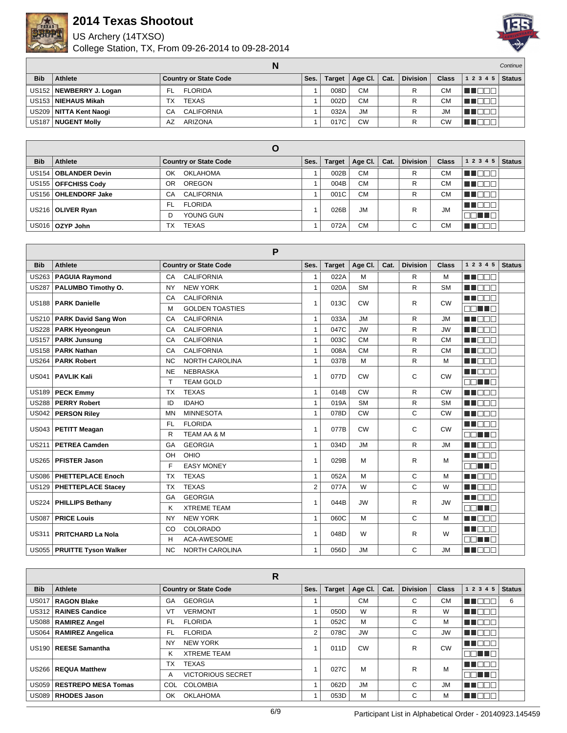

US Archery (14TXSO)



|              |                           |                              |      |               |           |      |                 | <b>Continue</b> |                |  |
|--------------|---------------------------|------------------------------|------|---------------|-----------|------|-----------------|-----------------|----------------|--|
| <b>Bib</b>   | Athlete                   | <b>Country or State Code</b> | Ses. | <b>Target</b> | Age CI.   | Cat. | <b>Division</b> | <b>Class</b>    | $12345$ Status |  |
|              | US152   NEWBERRY J. Logan | <b>FLORIDA</b><br>FL         |      | 008D          | <b>CM</b> |      |                 | СM              |                |  |
|              | US153   NIEHAUS Mikah     | <b>TEXAS</b><br>ТX           |      | 002D          | <b>CM</b> |      |                 | СM              |                |  |
|              | US209   NITTA Kent Naogi  | <b>CALIFORNIA</b><br>СA      |      | 032A          | <b>JM</b> |      |                 | <b>JM</b>       |                |  |
| <b>US187</b> | NUGENT Molly              | <b>ARIZONA</b><br>AZ         |      | 017C          | <b>CW</b> |      |                 | CW              |                |  |

|            |                        | O                            |      |               |                 |      |                 |              |           |               |
|------------|------------------------|------------------------------|------|---------------|-----------------|------|-----------------|--------------|-----------|---------------|
| <b>Bib</b> | Athlete                | <b>Country or State Code</b> | Ses. | <b>Target</b> | Age Cl. $\vert$ | Cat. | <b>Division</b> | <b>Class</b> | 12345     | <b>Status</b> |
|            | US154   OBLANDER Devin | <b>OKLAHOMA</b><br>OK        |      | 002B          | <b>CM</b>       |      | R.              | <b>CM</b>    | TE ELET   |               |
|            | US155   OFFCHISS Cody  | <b>OREGON</b><br>OR          |      | 004B          | <b>CM</b>       |      | R               | СM           | UN DEL T  |               |
|            | US156   OHLENDORF Jake | <b>CALIFORNIA</b><br>CA      |      | 001C          | <b>CM</b>       |      | R               | <b>CM</b>    |           |               |
|            | US216   OLIVER Ryan    | <b>FLORIDA</b><br>FL.        |      | 026B          | <b>JM</b>       |      | R               | <b>JM</b>    | n in Eise |               |
|            |                        | YOUNG GUN                    |      |               |                 |      |                 |              | n na T    |               |
|            | US016   OZYP John      | <b>TEXAS</b><br>TX           |      | 072A          | <b>CM</b>       |      | C               | СM           |           |               |

|              |                              | P                                  |              |               |           |      |                 |              |                            |
|--------------|------------------------------|------------------------------------|--------------|---------------|-----------|------|-----------------|--------------|----------------------------|
| <b>Bib</b>   | <b>Athlete</b>               | <b>Country or State Code</b>       | Ses.         | <b>Target</b> | Age CI.   | Cat. | <b>Division</b> | <b>Class</b> | 1 2 3 4 5<br><b>Status</b> |
| <b>US263</b> | <b>PAGUIA Raymond</b>        | <b>CALIFORNIA</b><br>CA            | 1            | 022A          | м         |      | R               | M            | M BEE                      |
| <b>US287</b> | PALUMBO Timothy O.           | <b>NEW YORK</b><br><b>NY</b>       | $\mathbf{1}$ | 020A          | <b>SM</b> |      | R               | <b>SM</b>    | ME E E E                   |
| <b>US188</b> | <b>PARK Danielle</b>         | <b>CALIFORNIA</b><br>CA            | 1            | 013C          | <b>CW</b> |      | R               | <b>CW</b>    | MA DE L                    |
|              |                              | <b>GOLDEN TOASTIES</b><br>M        |              |               |           |      |                 |              | nn an a                    |
| <b>US210</b> | <b>PARK David Sang Won</b>   | <b>CALIFORNIA</b><br>CA            | $\mathbf{1}$ | 033A          | <b>JM</b> |      | R               | JM           | MA DE C                    |
| <b>US228</b> | <b>PARK Hyeongeun</b>        | <b>CALIFORNIA</b><br>CA            | $\mathbf{1}$ | 047C          | <b>JW</b> |      | R               | <b>JW</b>    | ME E E E                   |
| <b>US157</b> | <b>PARK Junsung</b>          | <b>CALIFORNIA</b><br>CA            | $\mathbf{1}$ | 003C          | <b>CM</b> |      | R               | <b>CM</b>    | ME E E E                   |
| <b>US158</b> | <b>PARK Nathan</b>           | <b>CALIFORNIA</b><br>CA            | $\mathbf{1}$ | 008A          | <b>CM</b> |      | R               | <b>CM</b>    | MI DEC                     |
| <b>US264</b> | <b>PARK Robert</b>           | <b>NORTH CAROLINA</b><br><b>NC</b> | $\mathbf{1}$ | 037B          | M         |      | R               | M            | ME E E E                   |
| <b>US041</b> | <b>PAVLIK Kali</b>           | <b>NEBRASKA</b><br><b>NE</b>       | 1            | 077D          | <b>CW</b> |      | С               | <b>CW</b>    | MA E E E                   |
|              |                              | <b>TEAM GOLD</b><br>$\mathsf{T}$   |              |               |           |      |                 |              | an na                      |
| <b>US189</b> | <b>PECK Emmy</b>             | <b>TEXAS</b><br><b>TX</b>          | $\mathbf{1}$ | 014B          | <b>CW</b> |      | R               | <b>CW</b>    | MA BEL                     |
| <b>US288</b> | <b>PERRY Robert</b>          | <b>IDAHO</b><br>ID                 | $\mathbf{1}$ | 019A          | <b>SM</b> |      | R               | <b>SM</b>    | M DEC                      |
| <b>US042</b> | <b>PERSON Riley</b>          | <b>MINNESOTA</b><br><b>MN</b>      | $\mathbf{1}$ | 078D          | <b>CW</b> |      | C               | <b>CW</b>    | M BEE                      |
| <b>US043</b> | <b>PETITT Meagan</b>         | <b>FLORIDA</b><br><b>FL</b>        | 1            | 077B          | <b>CW</b> |      | С               | <b>CW</b>    | MN OO B                    |
|              |                              | R<br><b>TEAM AA &amp; M</b>        |              |               |           |      |                 |              | nn an D                    |
| <b>US211</b> | <b>PETREA Camden</b>         | <b>GEORGIA</b><br>GA               | 1            | 034D          | <b>JM</b> |      | R               | <b>JM</b>    | M DEC                      |
| <b>US265</b> | <b>PFISTER Jason</b>         | OHIO<br>OH                         | 1            | 029B          | M         |      | R               | M            | MA E E E                   |
|              |                              | F<br><b>EASY MONEY</b>             |              |               |           |      |                 |              | mm mm m                    |
| <b>US086</b> | <b>PHETTEPLACE Enoch</b>     | <b>TEXAS</b><br><b>TX</b>          | $\mathbf{1}$ | 052A          | M         |      | C               | M            | <b>REFERE</b>              |
| <b>US129</b> | <b>PHETTEPLACE Stacey</b>    | <b>TEXAS</b><br><b>TX</b>          | 2            | 077A          | W         |      | C               | W            | MA DE LA                   |
| <b>US224</b> | <b>PHILLIPS Bethany</b>      | <b>GEORGIA</b><br>GA               | 1            | 044B          | <b>JW</b> |      | R               | <b>JW</b>    | M BEE                      |
|              |                              | <b>XTREME TEAM</b><br>ĸ            |              |               |           |      |                 |              | 88 <b>18</b> 8             |
| <b>US087</b> | <b>PRICE Louis</b>           | <b>NEW YORK</b><br><b>NY</b>       | $\mathbf{1}$ | 060C          | M         |      | C               | M            | <b>REFERE</b>              |
|              |                              | <b>COLORADO</b><br>CO              | 1            |               |           |      |                 |              | <b>RENAR</b>               |
| <b>US311</b> | <b>PRITCHARD La Nola</b>     | <b>ACA-AWESOME</b><br>H            |              | 048D          | W         |      | R               | W            | NN HA                      |
|              | US055   PRUITTE Tyson Walker | <b>NC</b><br><b>NORTH CAROLINA</b> | $\mathbf{1}$ | 056D          | <b>JM</b> |      | C               | <b>JM</b>    | M DE S                     |

|              |                          | R                             |                |               |           |      |                 |              |                |               |
|--------------|--------------------------|-------------------------------|----------------|---------------|-----------|------|-----------------|--------------|----------------|---------------|
| <b>Bib</b>   | Athlete                  | <b>Country or State Code</b>  | Ses.           | <b>Target</b> | Age CI.   | Cat. | <b>Division</b> | <b>Class</b> | 1 2 3 4 5      | <b>Status</b> |
| <b>US017</b> | <b>RAGON Blake</b>       | <b>GEORGIA</b><br>GA          |                |               | <b>CM</b> |      | С               | <b>CM</b>    |                | 6             |
|              | US312   RAINES Candice   | VT<br><b>VERMONT</b>          |                | 050D          | W         |      | R               | W            | T N            |               |
|              | US088   RAMIREZ Angel    | FL<br><b>FLORIDA</b>          |                | 052C          | M         |      | С               | м            | T N<br>חר      |               |
|              | US064   RAMIREZ Angelica | <b>FLORIDA</b><br>FL          | $\overline{2}$ | 078C          | <b>JW</b> |      | С               | <b>JW</b>    | T FIT<br>- III |               |
|              | US190   REESE Samantha   | NY<br><b>NEW YORK</b>         |                | 011D          | CW        |      | R               | <b>CW</b>    | n de l         |               |
|              |                          | <b>XTREME TEAM</b><br>ĸ       |                |               |           |      |                 |              | nn nn n        |               |
|              | US266   REQUA Matthew    | ТX<br><b>TEXAS</b>            |                | 027C          | M         |      | R               | М            | H Ol           |               |
|              |                          | <b>VICTORIOUS SECRET</b><br>A |                |               |           |      |                 |              | 38 I DE        |               |
| US059        | RESTREPO MESA Tomas      | COLOMBIA<br>COL.              |                | 062D          | <b>JM</b> |      | С               | <b>JM</b>    | ┰<br>T N       |               |
|              | US089   RHODES Jason     | <b>OKLAHOMA</b><br>OK         |                | 053D          | М         |      | ⌒<br>U          | м            | M Ol<br>- III. |               |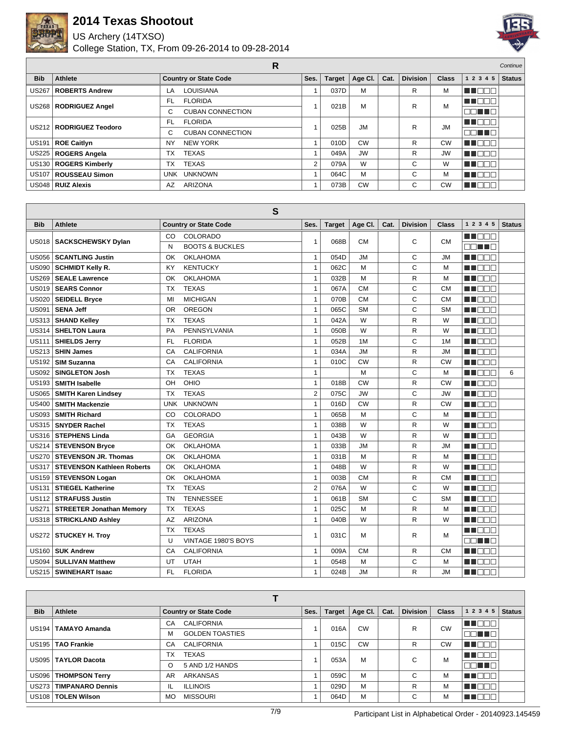

US Archery (14TXSO)



|              |                           | R                            |      |        |           |      |                 |              |            | Continue      |
|--------------|---------------------------|------------------------------|------|--------|-----------|------|-----------------|--------------|------------|---------------|
| <b>Bib</b>   | Athlete                   | <b>Country or State Code</b> | Ses. | Target | Age Cl.   | Cat. | <b>Division</b> | <b>Class</b> | 1 2 3 4 5  | <b>Status</b> |
| <b>US267</b> | <b>ROBERTS Andrew</b>     | <b>LOUISIANA</b><br>LA       |      | 037D   | M         |      | R               | м            | N EI<br>┓  |               |
|              | US268   RODRIGUEZ Angel   | <b>FLORIDA</b><br>FL.        |      | 021B   | м         |      | R               | M            | M D D D    |               |
|              |                           | <b>CUBAN CONNECTION</b><br>C |      |        |           |      |                 |              | DE 10 D    |               |
|              | US212   RODRIGUEZ Teodoro | <b>FLORIDA</b><br>FL.        |      | 025B   | <b>JM</b> |      | R               | <b>JM</b>    | MN DOO     |               |
|              |                           | <b>CUBAN CONNECTION</b><br>C |      |        |           |      |                 |              | 38 T D B   |               |
| <b>US191</b> | ROE Caitlyn               | <b>NEW YORK</b><br><b>NY</b> |      | 010D   | <b>CW</b> |      | R               | CW           | П<br>T El  |               |
|              | US225   ROGERS Angela     | TX<br><b>TEXAS</b>           |      | 049A   | <b>JW</b> |      | R               | <b>JW</b>    | ┐<br>T O   |               |
|              | US130   ROGERS Kimberly   | <b>TEXAS</b><br>TX           | 2    | 079A   | W         |      | С               | W            | ┒<br>T O   |               |
|              | US107   ROUSSEAU Simon    | <b>UNKNOWN</b><br>UNK        |      | 064C   | М         |      | C               | м            | ┒<br>N EI  |               |
|              | US048   RUIZ Alexis       | <b>ARIZONA</b><br>AZ         |      | 073B   | <b>CW</b> |      | С               | <b>CW</b>    | H Ol<br>70 |               |

|              |                                   | S                                                 |                |               |           |      |                 |              |                  |               |
|--------------|-----------------------------------|---------------------------------------------------|----------------|---------------|-----------|------|-----------------|--------------|------------------|---------------|
| <b>Bib</b>   | <b>Athlete</b>                    | <b>Country or State Code</b>                      | Ses.           | <b>Target</b> | Age CI.   | Cat. | <b>Division</b> | <b>Class</b> | 1 2 3 4 5        | <b>Status</b> |
| <b>US018</b> | <b>SACKSCHEWSKY Dylan</b>         | COLORADO<br>CO<br>N<br><b>BOOTS &amp; BUCKLES</b> | $\mathbf{1}$   | 068B          | <b>CM</b> |      | C               | <b>CM</b>    | n nana<br>n na m |               |
| <b>US056</b> | <b>SCANTLING Justin</b>           | <b>OKLAHOMA</b><br>OK                             | $\mathbf{1}$   | 054D          | <b>JM</b> |      | C               | <b>JM</b>    | <b>RENARE</b>    |               |
| <b>US090</b> | <b>SCHMIDT Kelly R.</b>           | <b>KENTUCKY</b><br>KY                             | $\mathbf{1}$   | 062C          | M         |      | Ċ               | M            | ME E E E         |               |
| <b>US269</b> | <b>SEALE Lawrence</b>             | <b>OKLAHOMA</b><br>OK                             | $\mathbf{1}$   | 032B          | M         |      | R               | M            | M DOO            |               |
| US019        | <b>SEARS Connor</b>               | <b>TEXAS</b><br><b>TX</b>                         | $\mathbf{1}$   | 067A          | <b>CM</b> |      | Ċ               | <b>CM</b>    | TIN NATI         |               |
| <b>US020</b> | <b>SEIDELL Bryce</b>              | <b>MICHIGAN</b><br>MI                             | $\mathbf{1}$   | 070B          | <b>CM</b> |      | C               | <b>CM</b>    | ME E E E         |               |
| <b>US091</b> | <b>SENA Jeff</b>                  | <b>OREGON</b><br><b>OR</b>                        | $\mathbf{1}$   | 065C          | <b>SM</b> |      | C               | <b>SM</b>    | ME E E E         |               |
| <b>US313</b> | <b>SHAND Kelley</b>               | <b>TEXAS</b><br><b>TX</b>                         | $\mathbf{1}$   | 042A          | W         |      | R               | W            | <b>REDEE</b>     |               |
| <b>US314</b> | <b>SHELTON Laura</b>              | PENNSYLVANIA<br>PA                                | $\mathbf{1}$   | 050B          | W         |      | R               | W            | <b>THE LIGHT</b> |               |
| <b>US111</b> | <b>SHIELDS Jerry</b>              | <b>FLORIDA</b><br>FL.                             | $\mathbf{1}$   | 052B          | 1M        |      | C               | 1M           | MA EL B          |               |
| <b>US213</b> | <b>SHIN James</b>                 | <b>CALIFORNIA</b><br>CA                           | $\mathbf{1}$   | 034A          | <b>JM</b> |      | R               | <b>JM</b>    | M DE L           |               |
| <b>US192</b> | <b>SIM Suzanna</b>                | CA<br><b>CALIFORNIA</b>                           | $\mathbf{1}$   | 010C          | CW        |      | R               | CW           | M DE S           |               |
| <b>US092</b> | <b>SINGLETON Josh</b>             | <b>TX</b><br><b>TEXAS</b>                         | $\mathbf{1}$   |               | M         |      | C               | M            | n na m           | 6             |
| <b>US193</b> | <b>SMITH Isabelle</b>             | OHIO<br>OH                                        | $\mathbf{1}$   | 018B          | <b>CW</b> |      | R               | CW           | MA EL B          |               |
| <b>US065</b> | <b>SMITH Karen Lindsey</b>        | <b>TEXAS</b><br><b>TX</b>                         | $\overline{2}$ | 075C          | <b>JW</b> |      | C               | JW           | M E E E          |               |
| <b>US400</b> | <b>SMITH Mackenzie</b>            | <b>UNKNOWN</b><br><b>UNK</b>                      | $\mathbf{1}$   | 016D          | <b>CW</b> |      | R               | <b>CW</b>    | MA DE L          |               |
| <b>US093</b> | <b>SMITH Richard</b>              | COLORADO<br>CO                                    | $\mathbf{1}$   | 065B          | M         |      | C               | M            | MA DE E          |               |
| <b>US315</b> | <b>SNYDER Rachel</b>              | <b>TEXAS</b><br><b>TX</b>                         | $\mathbf{1}$   | 038B          | W         |      | R               | W            | MA BEL           |               |
| <b>US316</b> | <b>STEPHENS Linda</b>             | <b>GEORGIA</b><br>GA                              | $\mathbf{1}$   | 043B          | W         |      | R               | W            | M DOO            |               |
| <b>US214</b> | <b>STEVENSON Bryce</b>            | <b>OKLAHOMA</b><br>OK                             | $\mathbf{1}$   | 033B          | <b>JM</b> |      | R               | <b>JM</b>    | ME E E E         |               |
| <b>US270</b> | <b>STEVENSON JR. Thomas</b>       | OK<br><b>OKLAHOMA</b>                             | $\mathbf{1}$   | 031B          | M         |      | R               | M            | M DEL            |               |
| <b>US317</b> | <b>STEVENSON Kathleen Roberts</b> | <b>OKLAHOMA</b><br>OK                             | $\mathbf{1}$   | 048B          | W         |      | R               | W            | MA DE LA         |               |
| <b>US159</b> | <b>STEVENSON Logan</b>            | <b>OKLAHOMA</b><br>OK                             | $\mathbf{1}$   | 003B          | <b>CM</b> |      | R               | <b>CM</b>    | MA E E E         |               |
| <b>US131</b> | <b>STIEGEL Katherine</b>          | <b>TEXAS</b><br><b>TX</b>                         | $\overline{2}$ | 076A          | W         |      | C               | W            | M DE L           |               |
| <b>US112</b> | <b>STRAFUSS Justin</b>            | <b>TENNESSEE</b><br><b>TN</b>                     | $\mathbf{1}$   | 061B          | <b>SM</b> |      | Ċ               | <b>SM</b>    | ME DE L          |               |
| <b>US271</b> | <b>STREETER Jonathan Memory</b>   | <b>TEXAS</b><br><b>TX</b>                         | $\mathbf{1}$   | 025C          | M         |      | R               | M            | TIN NATI         |               |
| <b>US318</b> | <b>STRICKLAND Ashley</b>          | <b>ARIZONA</b><br>AZ                              | $\mathbf{1}$   | 040B          | W         |      | R               | W            | MU DO V          |               |
|              |                                   | <b>TEXAS</b><br><b>TX</b>                         |                |               |           |      |                 |              | MA E E E         |               |
| US272        | <b>STUCKEY H. Troy</b>            | U<br>VINTAGE 1980'S BOYS                          | $\mathbf{1}$   | 031C          | м         |      | R               | М            | nn nn n          |               |
| <b>US160</b> | <b>SUK Andrew</b>                 | <b>CALIFORNIA</b><br>CA                           | $\mathbf{1}$   | 009A          | <b>CM</b> |      | R.              | <b>CM</b>    | M DE L           |               |
| <b>US094</b> | <b>SULLIVAN Matthew</b>           | <b>UTAH</b><br>UT                                 | $\mathbf{1}$   | 054B          | М         |      | C               | M            | n de la p        |               |
| <b>US215</b> | <b>SWINEHART Isaac</b>            | FL.<br><b>FLORIDA</b>                             | $\mathbf{1}$   | 024B          | <b>JM</b> |      | R               | <b>JM</b>    | MA O O O         |               |

| <b>Bib</b>        | Athlete                 | <b>Country or State Code</b> | Ses. | <b>Target</b> | Age Cl.   | Cat. | <b>Division</b> | <b>Class</b> | 1 2 3 4 5      | <b>Status</b> |
|-------------------|-------------------------|------------------------------|------|---------------|-----------|------|-----------------|--------------|----------------|---------------|
| US <sub>194</sub> | <b>TAMAYO Amanda</b>    | <b>CALIFORNIA</b><br>CA      |      | 016A          | <b>CW</b> |      | R               | CW           | MU DO O        |               |
|                   |                         | <b>GOLDEN TOASTIES</b><br>м  |      |               |           |      |                 |              | <b>REFERE</b>  |               |
|                   | US195   TAO Frankie     | <b>CALIFORNIA</b><br>CA      |      | 015C          | <b>CW</b> |      | R               | <b>CW</b>    | <b>THEFT.</b>  |               |
|                   | US095   TAYLOR Dacota   | <b>TEXAS</b><br>ТX           |      | 053A          | M         |      | С               | M            | N N N N N      |               |
|                   |                         | 5 AND 1/2 HANDS<br>O         |      |               |           |      |                 |              | nn nn n        |               |
| <b>US096</b>      | <b>THOMPSON Terry</b>   | AR<br>ARKANSAS               |      | 059C          | M         |      | C               | М            | חר<br>a kat    |               |
| <b>US273</b>      | <b>TIMPANARO Dennis</b> | IL<br><b>ILLINOIS</b>        |      | 029D          | M         |      | R               | М            | חרר<br>- I I I |               |
|                   | US108   TOLEN Wilson    | <b>MISSOURI</b><br><b>MO</b> |      | 064D          | M         |      | С               | М            | TET            |               |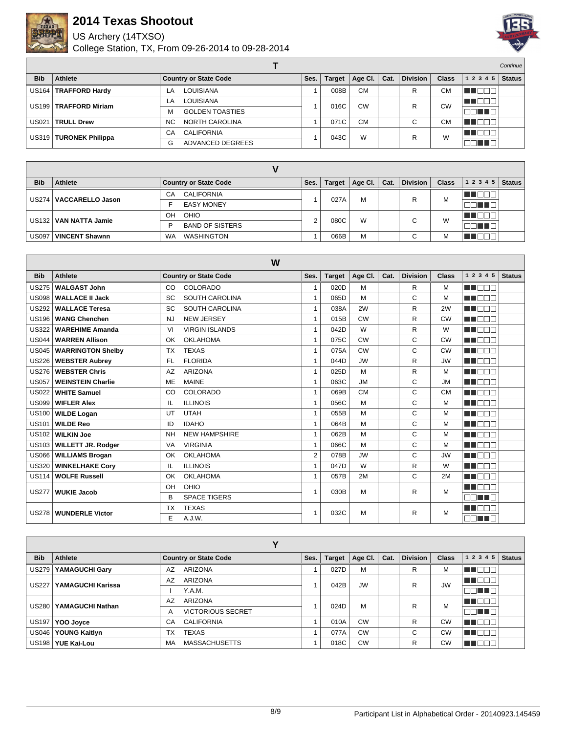

US Archery (14TXSO)



|              |                          |                              |      |               |           |      |                 |              |              | <b>Continue</b> |
|--------------|--------------------------|------------------------------|------|---------------|-----------|------|-----------------|--------------|--------------|-----------------|
| <b>Bib</b>   | Athlete                  | <b>Country or State Code</b> | Ses. | <b>Target</b> | Age Cl.   | Cat. | <b>Division</b> | <b>Class</b> | 1 2 3 4 5    | <b>Status</b>   |
|              | US164   TRAFFORD Hardy   | LOUISIANA<br>LA.             |      | 008B          | <b>CM</b> |      | R               | <b>CM</b>    | $\mathbf{H}$ |                 |
|              | US199   TRAFFORD Miriam  | <b>LOUISIANA</b><br>LA       |      | 016C          | <b>CW</b> |      | R               | CW           | an dia G     |                 |
|              |                          | <b>GOLDEN TOASTIES</b><br>м  |      |               |           |      |                 |              | TE E E       |                 |
| <b>US021</b> | <b>TRULL Drew</b>        | NORTH CAROLINA<br><b>NC</b>  |      | 071C          | <b>CM</b> |      | С               | <b>CM</b>    | <b>JOF</b>   |                 |
|              | US319   TURONEK Philippa | <b>CALIFORNIA</b><br>СA      |      | 043C          | W         |      | R               | W            | ∙ ¶∎⊡⊟ ∷     |                 |
|              |                          | ADVANCED DEGREES<br>G        |      |               |           |      |                 |              |              |                 |

| <b>Bib</b>        | <b>Athlete</b>          | <b>Country or State Code</b>   | Ses.   | <b>Target</b> | Age Cl. | Cat. | <b>Division</b> | <b>Class</b> | 1 2 3 4 5    | <b>Status</b> |
|-------------------|-------------------------|--------------------------------|--------|---------------|---------|------|-----------------|--------------|--------------|---------------|
| <b>US274</b>      | <b>VACCARELLO Jason</b> | <b>CALIFORNIA</b><br>СA        |        | 027A          | M       |      | R               | M            | - III.       |               |
|                   |                         | <b>EASY MONEY</b>              |        |               |         |      |                 |              |              |               |
| US <sub>132</sub> | <b>VAN NATTA Jamie</b>  | OHIO<br>OH                     | $\sim$ | 080C          | W       |      | $\sim$          | W            | TO<br>- III. |               |
|                   |                         | <b>BAND OF SISTERS</b><br>D    |        |               |         |      |                 |              |              |               |
| <b>US097</b>      | <b>VINCENT Shawnn</b>   | <b>WA</b><br><b>WASHINGTON</b> |        | 066B          | M       |      | $\sim$<br>◡     | M            | ┓            |               |

| W            |                           |                                   |                |               |           |      |                 |              |                  |               |
|--------------|---------------------------|-----------------------------------|----------------|---------------|-----------|------|-----------------|--------------|------------------|---------------|
| <b>Bib</b>   | <b>Athlete</b>            | <b>Country or State Code</b>      | Ses.           | <b>Target</b> | Age CI.   | Cat. | <b>Division</b> | <b>Class</b> | 1 2 3 4 5        | <b>Status</b> |
| <b>US275</b> | <b>WALGAST John</b>       | COLORADO<br>CO                    | 1              | 020D          | M         |      | R               | M            | M E E E          |               |
| <b>US098</b> | <b>WALLACE II Jack</b>    | <b>SOUTH CAROLINA</b><br>SC       | $\mathbf{1}$   | 065D          | M         |      | C               | M            | <b>REDEE</b>     |               |
| <b>US292</b> | <b>WALLACE Teresa</b>     | <b>SOUTH CAROLINA</b><br>SC       | $\mathbf{1}$   | 038A          | 2W        |      | R               | 2W           | MA NA T          |               |
| <b>US196</b> | <b>WANG Chenchen</b>      | <b>NEW JERSEY</b><br><b>NJ</b>    | 1              | 015B          | <b>CW</b> |      | R               | <b>CW</b>    | <b>RENDE</b>     |               |
| <b>US322</b> | <b>WAREHIME Amanda</b>    | <b>VIRGIN ISLANDS</b><br>VI       | 1              | 042D          | W         |      | R               | W            | M BE S           |               |
| <b>US044</b> | <b>WARREN Allison</b>     | <b>OKLAHOMA</b><br>OK             | $\mathbf{1}$   | 075C          | <b>CW</b> |      | C               | <b>CW</b>    | a a mara         |               |
| <b>US045</b> | <b>WARRINGTON Shelby</b>  | <b>TEXAS</b><br><b>TX</b>         | 1              | 075A          | <b>CW</b> |      | C               | <b>CW</b>    | n i Biblio       |               |
| <b>US226</b> | <b>WEBSTER Aubrey</b>     | <b>FLORIDA</b><br><b>FL</b>       | 1              | 044D          | <b>JW</b> |      | R               | <b>JW</b>    | MA MAT           |               |
| <b>US276</b> | <b>WEBSTER Chris</b>      | <b>ARIZONA</b><br>AZ              | 1              | 025D          | M         |      | R               | M            | M BE S           |               |
| <b>US057</b> | <b>WEINSTEIN Charlie</b>  | <b>MAINE</b><br><b>ME</b>         | 1              | 063C          | <b>JM</b> |      | C               | <b>JM</b>    | MA EL M          |               |
| <b>US022</b> | <b>WHITE Samuel</b>       | COLORADO<br>CO                    | $\mathbf{1}$   | 069B          | <b>CM</b> |      | C               | <b>CM</b>    | man man          |               |
| <b>US099</b> | <b>WIFLER Alex</b>        | <b>ILLINOIS</b><br>IL             | $\mathbf{1}$   | 056C          | M         |      | C               | M            | MA DELL'         |               |
| <b>US100</b> | <b>WILDE Logan</b>        | <b>UTAH</b><br>UT                 | $\mathbf{1}$   | 055B          | M         |      | C               | M            | <b>RENDER</b>    |               |
| <b>US101</b> | <b>WILDE Reo</b>          | <b>IDAHO</b><br>ID                | $\mathbf{1}$   | 064B          | М         |      | C               | M            | <b>REFERE</b>    |               |
| <b>US102</b> | <b>WILKIN Joe</b>         | <b>NEW HAMPSHIRE</b><br><b>NH</b> | $\mathbf{1}$   | 062B          | M         |      | C               | M            | <b>REFERENCE</b> |               |
| <b>US103</b> | <b>WILLETT JR. Rodger</b> | <b>VIRGINIA</b><br><b>VA</b>      | $\mathbf{1}$   | 066C          | M         |      | C               | M            | man man          |               |
| <b>US066</b> | <b>WILLIAMS Brogan</b>    | <b>OKLAHOMA</b><br>OK             | $\overline{2}$ | 078B          | <b>JW</b> |      | C               | <b>JW</b>    | HI NOT           |               |
| <b>US320</b> | <b>WINKELHAKE Cory</b>    | <b>ILLINOIS</b><br>IL             | 1              | 047D          | W         |      | R               | W            | MA DELL'         |               |
| <b>US114</b> | <b>WOLFE Russell</b>      | <b>OKLAHOMA</b><br>OK             | 1              | 057B          | 2M        |      | C               | 2M           | <b>REDEE</b>     |               |
| <b>US277</b> | <b>WUKIE Jacob</b>        | OHIO<br>OH                        | 1              | 030B          | М         |      | R               | M            | ma mata          |               |
|              |                           | <b>SPACE TIGERS</b><br>B          |                |               |           |      |                 |              | ПП<br>a port     |               |
| <b>US278</b> | <b>WUNDERLE Victor</b>    | <b>TEXAS</b><br><b>TX</b>         |                | 032C          | М         |      | R               | M            | ma mara          |               |
|              |                           | E<br>A.J.W.                       |                |               |           |      |                 |              |                  |               |

| v            |                      |                               |      |               |           |      |                 |              |                            |
|--------------|----------------------|-------------------------------|------|---------------|-----------|------|-----------------|--------------|----------------------------|
| <b>Bib</b>   | Athlete              | <b>Country or State Code</b>  | Ses. | <b>Target</b> | Age CI.   | Cat. | <b>Division</b> | <b>Class</b> | <b>Status</b><br>1 2 3 4 5 |
| <b>US279</b> | YAMAGUCHI Gary       | <b>ARIZONA</b><br>AZ          |      | 027D          | M         |      | R               | M            | ┓<br>- 11 -                |
| <b>US227</b> | YAMAGUCHI Karissa    | <b>ARIZONA</b><br>AZ          |      | 042B          | <b>JW</b> |      | R               | <b>JW</b>    | THEE                       |
|              |                      | Y.A.M.                        |      |               |           |      |                 |              | nn nn n                    |
| <b>US280</b> | YAMAGUCHI Nathan     | <b>ARIZONA</b><br>AZ          |      | 024D          | M         |      | R               | M            | M DE E                     |
|              |                      | <b>VICTORIOUS SECRET</b><br>A |      |               |           |      |                 |              | ma ma                      |
| US197        | YOO Joyce            | <b>CALIFORNIA</b><br>CA       |      | 010A          | <b>CW</b> |      | R.              | <b>CW</b>    | TI E E E                   |
| <b>US046</b> | <b>YOUNG Kaitlyn</b> | <b>TEXAS</b><br><b>TX</b>     |      | 077A          | <b>CW</b> |      | C               | <b>CW</b>    | T<br>╖                     |
|              | US198   YUE Kai-Lou  | <b>MASSACHUSETTS</b><br>MA    |      | 018C          | <b>CW</b> |      | R               | <b>CW</b>    | חרור                       |